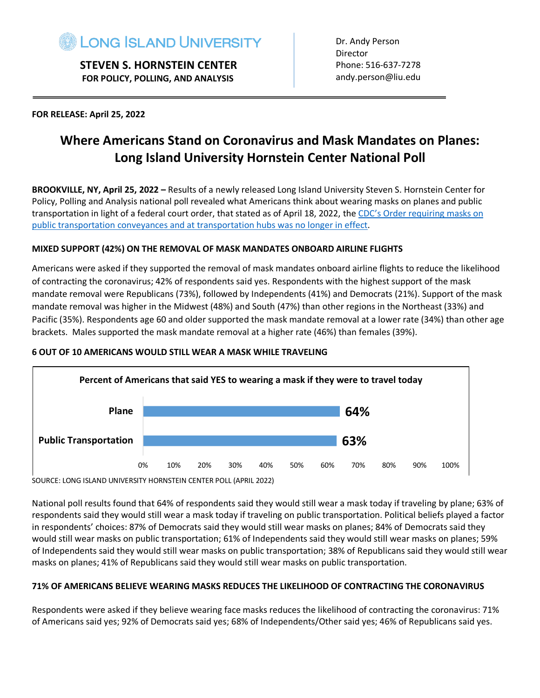

 **STEVEN S. HORNSTEIN CENTER FOR POLICY, POLLING, AND ANALYSIS**

Dr. Andy Person Director Phone: 516-637-7278 andy.person@liu.edu

#### **FOR RELEASE: April 25, 2022**

# **Where Americans Stand on Coronavirus and Mask Mandates on Planes: Long Island University Hornstein Center National Poll**

**BROOKVILLE, NY, April 25, 2022 –** Results of a newly released Long Island University Steven S. Hornstein Center for Policy, Polling and Analysis national poll revealed what Americans think about wearing masks on planes and public transportation in light of a federal court order, that stated as of April 18, 2022, the CDC's Order requiring masks on public transportation conveyances and at transportation hubs was no longer in effect.

#### **MIXED SUPPORT (42%) ON THE REMOVAL OF MASK MANDATES ONBOARD AIRLINE FLIGHTS**

Americans were asked if they supported the removal of mask mandates onboard airline flights to reduce the likelihood of contracting the coronavirus; 42% of respondents said yes. Respondents with the highest support of the mask mandate removal were Republicans (73%), followed by Independents (41%) and Democrats (21%). Support of the mask mandate removal was higher in the Midwest (48%) and South (47%) than other regions in the Northeast (33%) and Pacific (35%). Respondents age 60 and older supported the mask mandate removal at a lower rate (34%) than other age brackets. Males supported the mask mandate removal at a higher rate (46%) than females (39%).

#### **6 OUT OF 10 AMERICANS WOULD STILL WEAR A MASK WHILE TRAVELING**



SOURCE: LONG ISLAND UNIVERSITY HORNSTEIN CENTER POLL (APRIL 2022)

National poll results found that 64% of respondents said they would still wear a mask today if traveling by plane; 63% of respondents said they would still wear a mask today if traveling on public transportation. Political beliefs played a factor in respondents' choices: 87% of Democrats said they would still wear masks on planes; 84% of Democrats said they would still wear masks on public transportation; 61% of Independents said they would still wear masks on planes; 59% of Independents said they would still wear masks on public transportation; 38% of Republicans said they would still wear masks on planes; 41% of Republicans said they would still wear masks on public transportation.

#### **71% OF AMERICANS BELIEVE WEARING MASKS REDUCES THE LIKELIHOOD OF CONTRACTING THE CORONAVIRUS**

Respondents were asked if they believe wearing face masks reduces the likelihood of contracting the coronavirus: 71% of Americans said yes; 92% of Democrats said yes; 68% of Independents/Other said yes; 46% of Republicans said yes.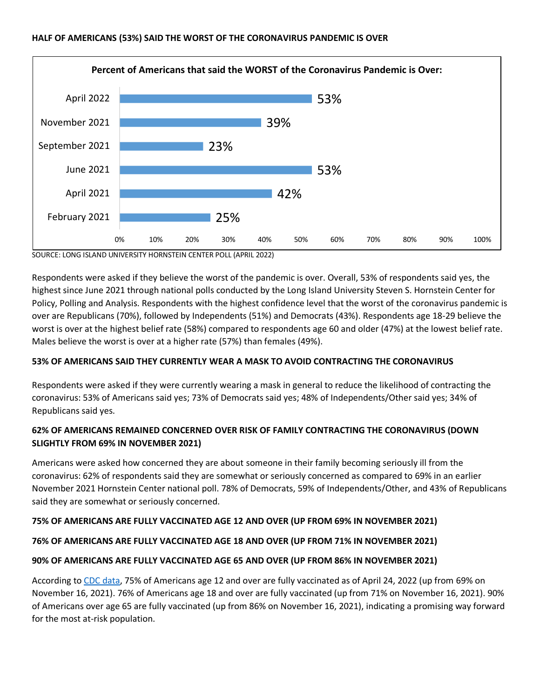

SOURCE: LONG ISLAND UNIVERSITY HORNSTEIN CENTER POLL (APRIL 2022)

Respondents were asked if they believe the worst of the pandemic is over. Overall, 53% of respondents said yes, the highest since June 2021 through national polls conducted by the Long Island University Steven S. Hornstein Center for Policy, Polling and Analysis. Respondents with the highest confidence level that the worst of the coronavirus pandemic is over are Republicans (70%), followed by Independents (51%) and Democrats (43%). Respondents age 18-29 believe the worst is over at the highest belief rate (58%) compared to respondents age 60 and older (47%) at the lowest belief rate. Males believe the worst is over at a higher rate (57%) than females (49%).

#### **53% OF AMERICANS SAID THEY CURRENTLY WEAR A MASK TO AVOID CONTRACTING THE CORONAVIRUS**

Respondents were asked if they were currently wearing a mask in general to reduce the likelihood of contracting the coronavirus: 53% of Americans said yes; 73% of Democrats said yes; 48% of Independents/Other said yes; 34% of Republicans said yes.

### **62% OF AMERICANS REMAINED CONCERNED OVER RISK OF FAMILY CONTRACTING THE CORONAVIRUS (DOWN SLIGHTLY FROM 69% IN NOVEMBER 2021)**

Americans were asked how concerned they are about someone in their family becoming seriously ill from the coronavirus: 62% of respondents said they are somewhat or seriously concerned as compared to 69% in an earlier November 2021 Hornstein Center national poll. 78% of Democrats, 59% of Independents/Other, and 43% of Republicans said they are somewhat or seriously concerned.

### **75% OF AMERICANS ARE FULLY VACCINATED AGE 12 AND OVER (UP FROM 69% IN NOVEMBER 2021)**

### **76% OF AMERICANS ARE FULLY VACCINATED AGE 18 AND OVER (UP FROM 71% IN NOVEMBER 2021)**

#### **90% OF AMERICANS ARE FULLY VACCINATED AGE 65 AND OVER (UP FROM 86% IN NOVEMBER 2021)**

According to CDC data, 75% of Americans age 12 and over are fully vaccinated as of April 24, 2022 (up from 69% on November 16, 2021). 76% of Americans age 18 and over are fully vaccinated (up from 71% on November 16, 2021). 90% of Americans over age 65 are fully vaccinated (up from 86% on November 16, 2021), indicating a promising way forward for the most at-risk population.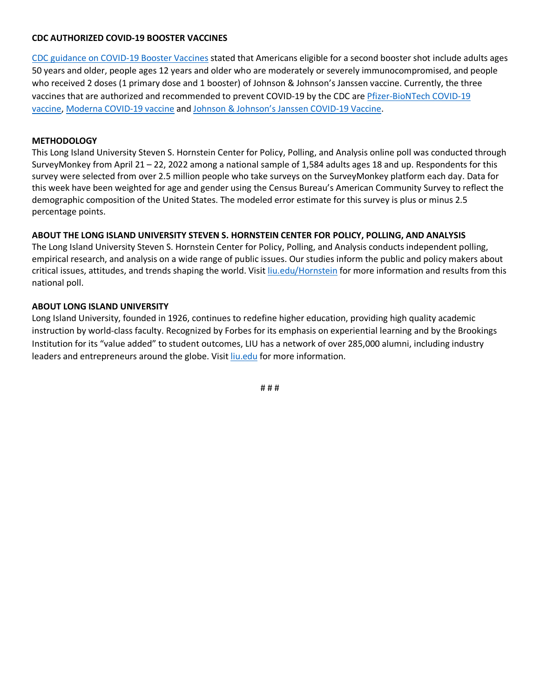#### **CDC AUTHORIZED COVID-19 BOOSTER VACCINES**

CDC guidance on COVID-19 Booster Vaccines stated that Americans eligible for a second booster shot include adults ages 50 years and older, people ages 12 years and older who are moderately or severely immunocompromised, and people who received 2 doses (1 primary dose and 1 booster) of Johnson & Johnson's Janssen vaccine. Currently, the three vaccines that are authorized and recommended to prevent COVID-19 by the CDC are Pfizer-BioNTech COVID-19 vaccine, Moderna COVID-19 vaccine and Johnson & Johnson's Janssen COVID-19 Vaccine.

#### **METHODOLOGY**

This Long Island University Steven S. Hornstein Center for Policy, Polling, and Analysis online poll was conducted through SurveyMonkey from April 21 – 22, 2022 among a national sample of 1,584 adults ages 18 and up. Respondents for this survey were selected from over 2.5 million people who take surveys on the SurveyMonkey platform each day. Data for this week have been weighted for age and gender using the Census Bureau's American Community Survey to reflect the demographic composition of the United States. The modeled error estimate for this survey is plus or minus 2.5 percentage points.

#### **ABOUT THE LONG ISLAND UNIVERSITY STEVEN S. HORNSTEIN CENTER FOR POLICY, POLLING, AND ANALYSIS**

The Long Island University Steven S. Hornstein Center for Policy, Polling, and Analysis conducts independent polling, empirical research, and analysis on a wide range of public issues. Our studies inform the public and policy makers about critical issues, attitudes, and trends shaping the world. Visit liu.edu/Hornstein for more information and results from this national poll.

#### **ABOUT LONG ISLAND UNIVERSITY**

Long Island University, founded in 1926, continues to redefine higher education, providing high quality academic instruction by world-class faculty. Recognized by Forbes for its emphasis on experiential learning and by the Brookings Institution for its "value added" to student outcomes, LIU has a network of over 285,000 alumni, including industry leaders and entrepreneurs around the globe. Visit liu.edu for more information.

# # #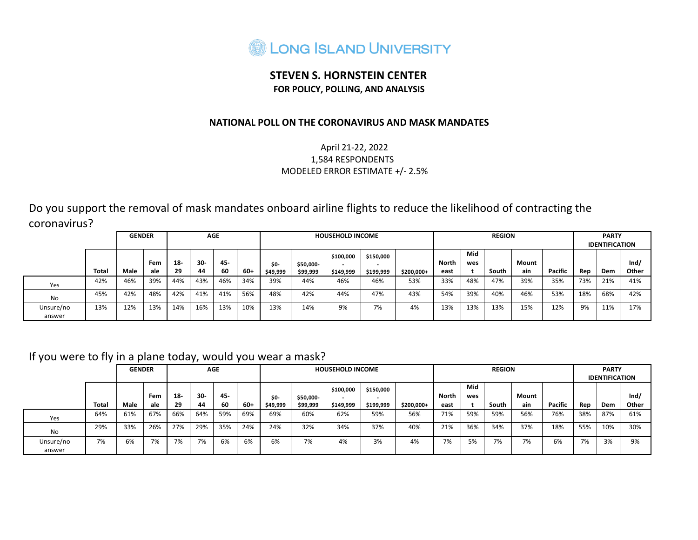

## **STEVEN S. HORNSTEIN CENTER FOR POLICY, POLLING, AND ANALYSIS**

### **NATIONAL POLL ON THE CORONAVIRUS AND MASK MANDATES**

### April 21-22, 2022 1,584 RESPONDENTS MODELED ERROR ESTIMATE +/- 2.5%

Do you support the removal of mask mandates onboard airline flights to reduce the likelihood of contracting the coronavirus?

|                     |              | <b>GENDER</b> |            |             | <b>AGE</b>  |             |       |                        |                       | <b>HOUSEHOLD INCOME</b> |                        |             |                      |            | <b>REGION</b> |              |         |     | <b>PARTY</b><br><b>IDENTIFICATION</b> |               |
|---------------------|--------------|---------------|------------|-------------|-------------|-------------|-------|------------------------|-----------------------|-------------------------|------------------------|-------------|----------------------|------------|---------------|--------------|---------|-----|---------------------------------------|---------------|
|                     | <b>Total</b> | Male          | Fem<br>ale | $18-$<br>29 | $30-$<br>44 | 45-<br>- 60 | $60+$ | <b>SO-</b><br>\$49,999 | \$50,000-<br>\$99,999 | \$100,000<br>\$149,999  | \$150,000<br>\$199,999 | $$200,000+$ | <b>North</b><br>east | Mid<br>wes | South         | Mount<br>ain | Pacific | Rep | Dem                                   | Ind/<br>Other |
| Yes                 | 42%          | 46%           | 39%        | 44%         | 43%         | 46%         | 34%   | 39%                    | 44%                   | 46%                     | 46%                    | 53%         | 33%                  | 48%        | 47%           | 39%          | 35%     | 73% | 21%                                   | 41%           |
| No                  | 45%          | 42%           | 48%        | 42%         | 41%         | 41%         | 56%   | 48%                    | 42%                   | 44%                     | 47%                    | 43%         | 54%                  | 39%        | 40%           | 46%          | 53%     | 18% | 68%                                   | 42%           |
| Unsure/no<br>answer | 13%          | 12%           | 13%        | 14%         | 16%         | 13%         | 10%   | 13%                    | 14%                   | 9%                      | 7%                     | 4%          | 13%                  | 13%        | 13%           | 15%          | 12%     | 9%  | 11%                                   | 17%           |

## If you were to fly in a plane today, would you wear a mask?

|                     |       | <b>GENDER</b> |            |             | <b>AGE</b>   |           |      |                  |                       | <b>HOUSEHOLD INCOME</b> |                        |            |               |            | <b>REGION</b> |              |         |     | <b>PARTY</b><br><b>IDENTIFICATION</b> |               |
|---------------------|-------|---------------|------------|-------------|--------------|-----------|------|------------------|-----------------------|-------------------------|------------------------|------------|---------------|------------|---------------|--------------|---------|-----|---------------------------------------|---------------|
|                     | Total | Male          | Fem<br>ale | $18-$<br>29 | $30 -$<br>44 | 45-<br>60 | -60+ | \$0-<br>\$49,999 | \$50,000-<br>\$99,999 | \$100,000<br>\$149,999  | \$150,000<br>\$199,999 | \$200,000+ | North<br>east | Mid<br>wes | South         | Mount<br>ain | Pacific | Rep | Dem                                   | Ind/<br>Other |
| Yes                 | 64%   | 61%           | 67%        | 66%         | 64%          | 59%       | 69%  | 69%              | 60%                   | 62%                     | 59%                    | 56%        | 71%           | 59%        | 59%           | 56%          | 76%     | 38% | 87%                                   | 61%           |
| No                  | 29%   | 33%           | 26%        | 27%         | 29%          | 35%       | 24%  | 24%              | 32%                   | 34%                     | 37%                    | 40%        | 21%           | 36%        | 34%           | 37%          | 18%     | 55% | 10%                                   | 30%           |
| Unsure/no<br>answer | 7%    | 6%            | 7%         | 7%          | 7%           | 6%        | 6%   | 6%               | 7%                    | 4%                      | 3%                     | 4%         | 7%            | 5%         | 7%            | 7%           | 6%      | 7%  | 3%                                    | 9%            |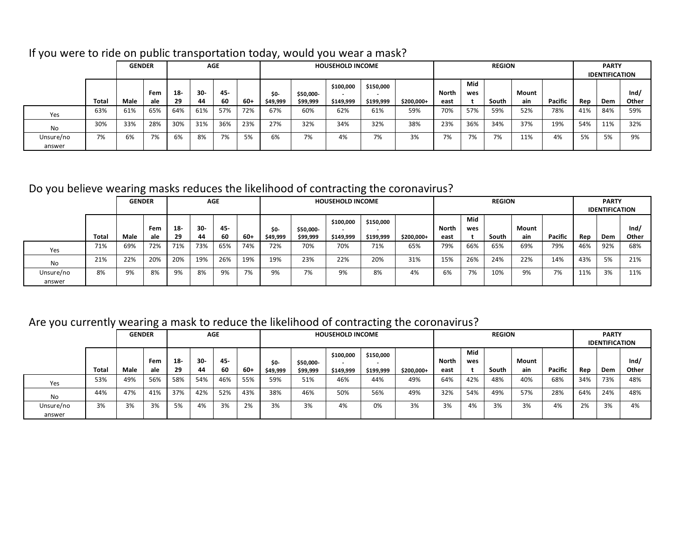|                     |       | <b>GENDER</b> |            |              | <b>AGE</b> |           |     |                 |                       | <b>HOUSEHOLD INCOME</b> |                                                    |            |               |            | <b>REGION</b> |              |         |     | <b>PARTY</b><br><b>IDENTIFICATION</b> |               |
|---------------------|-------|---------------|------------|--------------|------------|-----------|-----|-----------------|-----------------------|-------------------------|----------------------------------------------------|------------|---------------|------------|---------------|--------------|---------|-----|---------------------------------------|---------------|
|                     | Total | Male          | Fem<br>ale | $18 -$<br>29 | 30-<br>44  | 45-<br>60 | 60+ | SO-<br>\$49,999 | \$50,000-<br>\$99,999 | \$100,000<br>\$149,999  | \$150,000<br>$\overline{\phantom{0}}$<br>\$199,999 | \$200,000+ | North<br>east | Mid<br>wes | South         | Mount<br>ain | Pacific | Rep | Dem                                   | Ind/<br>Other |
| Yes                 | 63%   | 61%           | 65%        | 64%          | 61%        | 57%       | 72% | 67%             | 60%                   | 62%                     | 61%                                                | 59%        | 70%           | 57%        | 59%           | 52%          | 78%     | 41% | 84%                                   | 59%           |
| No                  | 30%   | 33%           | 28%        | 30%          | 31%        | 36%       | 23% | 27%             | 32%                   | 34%                     | 32%                                                | 38%        | 23%           | 36%        | 34%           | 37%          | 19%     | 54% | 11%                                   | 32%           |
| Unsure/no<br>answer | 7%    | 6%            | 7%         | 6%           | 8%         | 7%        | 5%  | 6%              | 7%                    | 4%                      | 7%                                                 | 3%         | 7%            | 7%         | 7%            | 11%          | 4%      | 5%  | 5%                                    | 9%            |

# If you were to ride on public transportation today, would you wear a mask?

# Do you believe wearing masks reduces the likelihood of contracting the coronavirus?

|                     |       | <b>GENDER</b> |            |              | <b>AGE</b>   |           |     |                        |                       | <b>HOUSEHOLD INCOME</b> |                        |            |               |            | <b>REGION</b> |              |         |     | <b>PARTY</b><br><b>IDENTIFICATION</b> |               |
|---------------------|-------|---------------|------------|--------------|--------------|-----------|-----|------------------------|-----------------------|-------------------------|------------------------|------------|---------------|------------|---------------|--------------|---------|-----|---------------------------------------|---------------|
|                     | Total | Male          | Fem<br>ale | $18 -$<br>29 | $30 -$<br>44 | 45-<br>60 | 60+ | <b>SO-</b><br>\$49,999 | \$50,000-<br>\$99,999 | \$100,000<br>\$149,999  | \$150,000<br>\$199,999 | \$200,000+ | North<br>east | Mid<br>wes | South         | Mount<br>ain | Pacific | Rep | Dem                                   | Ind/<br>Other |
| Yes                 | 71%   | 69%           | 72%        | 71%          | 73%          | 65%       | 74% | 72%                    | 70%                   | 70%                     | 71%                    | 65%        | 79%           | 66%        | 65%           | 69%          | 79%     | 46% | 92%                                   | 68%           |
| <b>No</b>           | 21%   | 22%           | 20%        | 20%          | 19%          | 26%       | 19% | 19%                    | 23%                   | 22%                     | 20%                    | 31%        | 15%           | 26%        | 24%           | 22%          | 14%     | 43% | 5%                                    | 21%           |
| Unsure/no<br>answer | 8%    | 9%            | 8%         | 9%           | 8%           | 9%        | 7%  | 9%                     | 7%                    | 9%                      | 8%                     | 4%         | 6%            | 7%         | 10%           | 9%           | 7%      | 11% | 3%                                    | 11%           |

# Are you currently wearing a mask to reduce the likelihood of contracting the coronavirus?

|                     |       |               | <u>_</u>   |              |              |           |      |                        |                       |                         | -                      |            |                      |            |               |              |         |     |                                       |               |
|---------------------|-------|---------------|------------|--------------|--------------|-----------|------|------------------------|-----------------------|-------------------------|------------------------|------------|----------------------|------------|---------------|--------------|---------|-----|---------------------------------------|---------------|
|                     |       | <b>GENDER</b> |            |              | <b>AGE</b>   |           |      |                        |                       | <b>HOUSEHOLD INCOME</b> |                        |            |                      |            | <b>REGION</b> |              |         |     | <b>PARTY</b><br><b>IDENTIFICATION</b> |               |
|                     | Total | Male          | Fem<br>ale | $18 -$<br>29 | $30 -$<br>44 | 45-<br>60 | -60+ | <b>SO-</b><br>\$49,999 | \$50,000-<br>\$99,999 | \$100,000<br>\$149,999  | \$150,000<br>\$199,999 | \$200,000+ | <b>North</b><br>east | Mid<br>wes | South         | Mount<br>ain | Pacific | Rep | Dem                                   | Ind/<br>Other |
| Yes                 | 53%   | 49%           | 56%        | 58%          | 54%          | 46%       | 55%  | 59%                    | 51%                   | 46%                     | 44%                    | 49%        | 64%                  | 42%        | 48%           | 40%          | 68%     | 34% | 73%                                   | 48%           |
| No                  | 44%   | 47%           | 41%        | 37%          | 42%          | 52%       | 43%  | 38%                    | 46%                   | 50%                     | 56%                    | 49%        | 32%                  | 54%        | 49%           | 57%          | 28%     | 64% | 24%                                   | 48%           |
| Unsure/no<br>answer | 3%    | 3%            | 3%         | 5%           | 4%           | 3%        | 2%   | 3%                     | 3%                    | 4%                      | 0%                     | 3%         | 3%                   | 4%         | 3%            | 3%           | 4%      | 2%  | 3%                                    | 4%            |